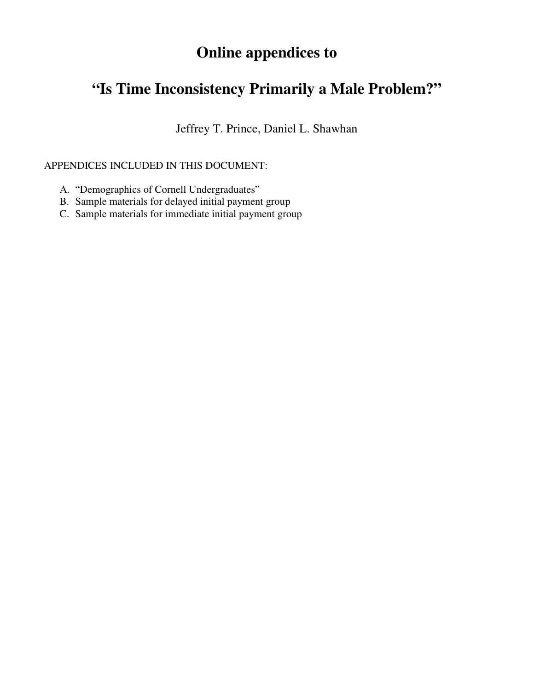# **Online appendices to**

# **"Is Time Inconsistency Primarily a Male Problem?"**

Jeffrey T. Prince, Daniel L. Shawhan

### APPENDICES INCLUDED IN THIS DOCUMENT:

- A. "Demographics of Cornell Undergraduates"
- B. Sample materials for delayed initial payment group
- C. Sample materials for immediate initial payment group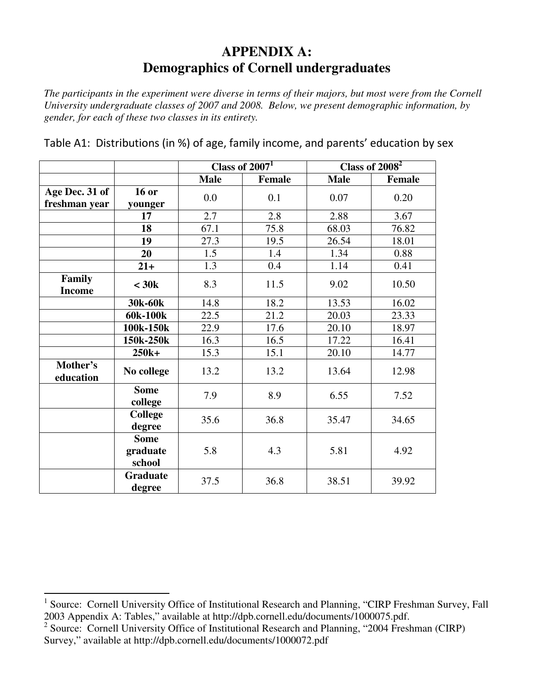# **APPENDIX A: Demographics of Cornell undergraduates**

*The participants in the experiment were diverse in terms of their majors, but most were from the Cornell University undergraduate classes of 2007 and 2008. Below, we present demographic information, by gender, for each of these two classes in its entirety.* 

|                         |                                   | Class of $2007T$ |               | Class of $2008^2$ |        |
|-------------------------|-----------------------------------|------------------|---------------|-------------------|--------|
|                         |                                   | <b>Male</b>      | <b>Female</b> | <b>Male</b>       | Female |
| Age Dec. 31 of          | <b>16 or</b>                      | 0.0              | 0.1           | 0.07              | 0.20   |
| freshman year           | younger                           |                  |               |                   |        |
|                         | 17                                | 2.7              | 2.8           | 2.88              | 3.67   |
|                         | 18                                | 67.1             | 75.8          | 68.03             | 76.82  |
|                         | 19                                | 27.3             | 19.5          | 26.54             | 18.01  |
|                         | 20                                | 1.5              | 1.4           | 1.34              | 0.88   |
|                         | $21+$                             | 1.3              | 0.4           | 1.14              | 0.41   |
| Family<br><b>Income</b> | $<$ 30 $k$                        | 8.3              | 11.5          | 9.02              | 10.50  |
|                         | 30k-60k                           | 14.8             | 18.2          | 13.53             | 16.02  |
|                         | 60k-100k                          | 22.5             | 21.2          | 20.03             | 23.33  |
|                         | 100k-150k                         | 22.9             | 17.6          | 20.10             | 18.97  |
|                         | 150k-250k                         | 16.3             | 16.5          | 17.22             | 16.41  |
|                         | 250k+                             | 15.3             | 15.1          | 20.10             | 14.77  |
| Mother's<br>education   | No college                        | 13.2             | 13.2          | 13.64             | 12.98  |
|                         | <b>Some</b><br>college            | 7.9              | 8.9           | 6.55              | 7.52   |
|                         | <b>College</b><br>degree          | 35.6             | 36.8          | 35.47             | 34.65  |
|                         | <b>Some</b><br>graduate<br>school | 5.8              | 4.3           | 5.81              | 4.92   |
|                         | <b>Graduate</b><br>degree         | 37.5             | 36.8          | 38.51             | 39.92  |

Table A1: Distributions (in %) of age, family income, and parents' education by sex

<sup>&</sup>lt;sup>1</sup> Source: Cornell University [Office of Institutional Research and Planning,](http://dpb.cornell.edu/OC_Inst_Research_Planning.htm) "CIRP Freshman Survey, Fall 2003 Appendix A: Tables," available at http://dpb.cornell.edu/documents/1000075.pdf.

<sup>&</sup>lt;sup>2</sup> Source: Cornell University [Office of Institutional Research and Planning,](http://dpb.cornell.edu/OC_Inst_Research_Planning.htm) "2004 Freshman (CIRP) Survey," available at http://dpb.cornell.edu/documents/1000072.pdf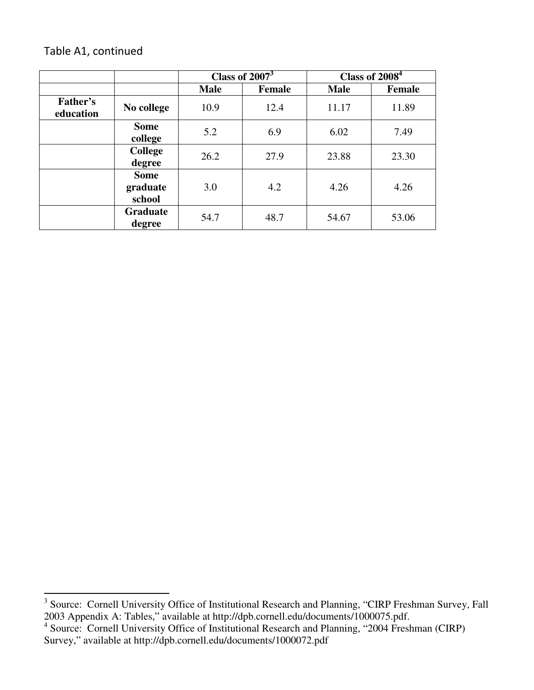## Table A1, continued

|                       |                                   | Class of $20073$ |               | Class of $2\overline{008}^4$ |               |
|-----------------------|-----------------------------------|------------------|---------------|------------------------------|---------------|
|                       |                                   | <b>Male</b>      | <b>Female</b> | <b>Male</b>                  | <b>Female</b> |
| Father's<br>education | No college                        | 10.9             | 12.4          | 11.17                        | 11.89         |
|                       | <b>Some</b><br>college            | 5.2              | 6.9           | 6.02                         | 7.49          |
|                       | <b>College</b><br>degree          | 26.2             | 27.9          | 23.88                        | 23.30         |
|                       | <b>Some</b><br>graduate<br>school | 3.0              | 4.2           | 4.26                         | 4.26          |
|                       | <b>Graduate</b><br>degree         | 54.7             | 48.7          | 54.67                        | 53.06         |

<sup>&</sup>lt;sup>3</sup> Source: Cornell University [Office of Institutional Research and Planning,](http://dpb.cornell.edu/OC_Inst_Research_Planning.htm) "CIRP Freshman Survey, Fall 2003 Appendix A: Tables," available at http://dpb.cornell.edu/documents/1000075.pdf.

<sup>&</sup>lt;sup>4</sup> Source: Cornell University [Office of Institutional Research and Planning,](http://dpb.cornell.edu/OC_Inst_Research_Planning.htm) "2004 Freshman (CIRP) Survey," available at http://dpb.cornell.edu/documents/1000072.pdf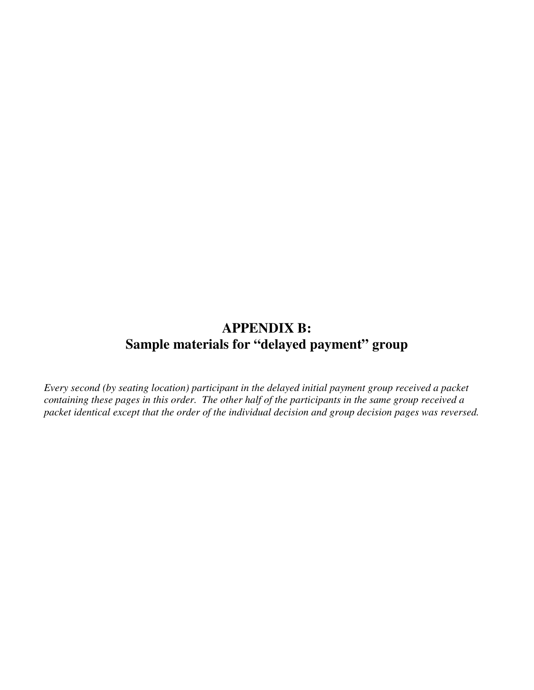# **APPENDIX B: Sample materials for "delayed payment" group**

*Every second (by seating location) participant in the delayed initial payment group received a packet containing these pages in this order. The other half of the participants in the same group received a packet identical except that the order of the individual decision and group decision pages was reversed.*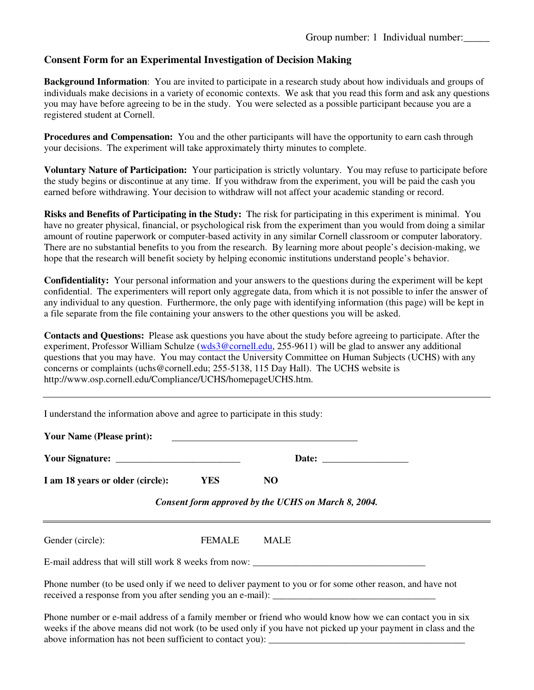#### **Consent Form for an Experimental Investigation of Decision Making**

**Background Information**: You are invited to participate in a research study about how individuals and groups of individuals make decisions in a variety of economic contexts. We ask that you read this form and ask any questions you may have before agreeing to be in the study. You were selected as a possible participant because you are a registered student at Cornell.

**Procedures and Compensation:** You and the other participants will have the opportunity to earn cash through your decisions. The experiment will take approximately thirty minutes to complete.

**Voluntary Nature of Participation:** Your participation is strictly voluntary. You may refuse to participate before the study begins or discontinue at any time. If you withdraw from the experiment, you will be paid the cash you earned before withdrawing. Your decision to withdraw will not affect your academic standing or record.

**Risks and Benefits of Participating in the Study:** The risk for participating in this experiment is minimal. You have no greater physical, financial, or psychological risk from the experiment than you would from doing a similar amount of routine paperwork or computer-based activity in any similar Cornell classroom or computer laboratory. There are no substantial benefits to you from the research. By learning more about people's decision-making, we hope that the research will benefit society by helping economic institutions understand people's behavior.

**Confidentiality:** Your personal information and your answers to the questions during the experiment will be kept confidential. The experimenters will report only aggregate data, from which it is not possible to infer the answer of any individual to any question. Furthermore, the only page with identifying information (this page) will be kept in a file separate from the file containing your answers to the other questions you will be asked.

**Contacts and Questions:** Please ask questions you have about the study before agreeing to participate. After the experiment, Professor William Schulze ([wds3@cornell.edu](mailto:wds3@cornell.edu), 255-9611) will be glad to answer any additional questions that you may have. You may contact the University Committee on Human Subjects (UCHS) with any concerns or complaints (uchs@cornell.edu; 255-5138, 115 Day Hall). The UCHS website is http://www.osp.cornell.edu/Compliance/UCHS/homepageUCHS.htm.

| I understand the information above and agree to participate in this study:<br><b>Your Name (Please print):</b> |               |                                                                                                           |
|----------------------------------------------------------------------------------------------------------------|---------------|-----------------------------------------------------------------------------------------------------------|
|                                                                                                                |               | <u> 1980 - Antonio Alemania, politikar politikar (h. 1980)</u>                                            |
| I am 18 years or older (circle):<br><b>YES</b>                                                                 |               | NO.                                                                                                       |
|                                                                                                                |               | Consent form approved by the UCHS on March 8, 2004.                                                       |
| Gender (circle):                                                                                               | <b>FEMALE</b> | MALE                                                                                                      |
|                                                                                                                |               | E-mail address that will still work 8 weeks from now:                                                     |
|                                                                                                                |               | Phone number (to be used only if we need to deliver payment to you or for some other reason, and have not |
|                                                                                                                |               | Dhana number or a mail address of a family mamber or friend who would know how we gen contact you in give |

Phone number or e-mail address of a family member or friend who would know how we can contact you in six weeks if the above means did not work (to be used only if you have not picked up your payment in class and the above information has not been sufficient to contact you):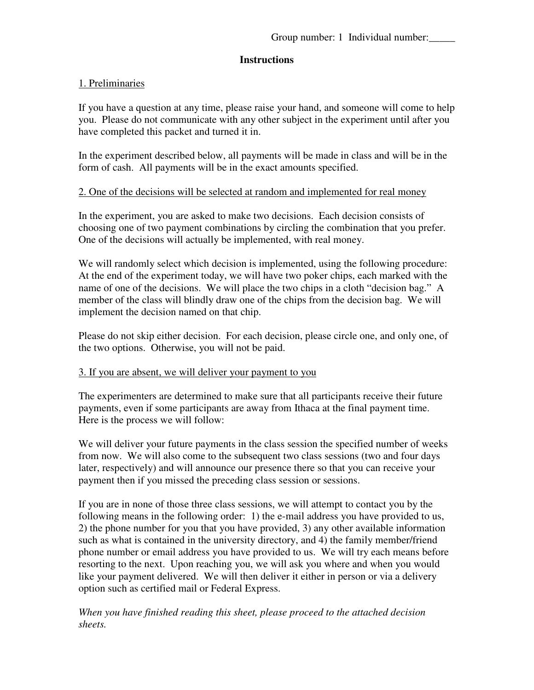### **Instructions**

### 1. Preliminaries

If you have a question at any time, please raise your hand, and someone will come to help you. Please do not communicate with any other subject in the experiment until after you have completed this packet and turned it in.

In the experiment described below, all payments will be made in class and will be in the form of cash. All payments will be in the exact amounts specified.

#### 2. One of the decisions will be selected at random and implemented for real money

In the experiment, you are asked to make two decisions. Each decision consists of choosing one of two payment combinations by circling the combination that you prefer. One of the decisions will actually be implemented, with real money.

We will randomly select which decision is implemented, using the following procedure: At the end of the experiment today, we will have two poker chips, each marked with the name of one of the decisions. We will place the two chips in a cloth "decision bag." A member of the class will blindly draw one of the chips from the decision bag. We will implement the decision named on that chip.

Please do not skip either decision. For each decision, please circle one, and only one, of the two options. Otherwise, you will not be paid.

### 3. If you are absent, we will deliver your payment to you

The experimenters are determined to make sure that all participants receive their future payments, even if some participants are away from Ithaca at the final payment time. Here is the process we will follow:

We will deliver your future payments in the class session the specified number of weeks from now. We will also come to the subsequent two class sessions (two and four days later, respectively) and will announce our presence there so that you can receive your payment then if you missed the preceding class session or sessions.

If you are in none of those three class sessions, we will attempt to contact you by the following means in the following order: 1) the e-mail address you have provided to us, 2) the phone number for you that you have provided, 3) any other available information such as what is contained in the university directory, and 4) the family member/friend phone number or email address you have provided to us. We will try each means before resorting to the next. Upon reaching you, we will ask you where and when you would like your payment delivered. We will then deliver it either in person or via a delivery option such as certified mail or Federal Express.

*When you have finished reading this sheet, please proceed to the attached decision sheets.*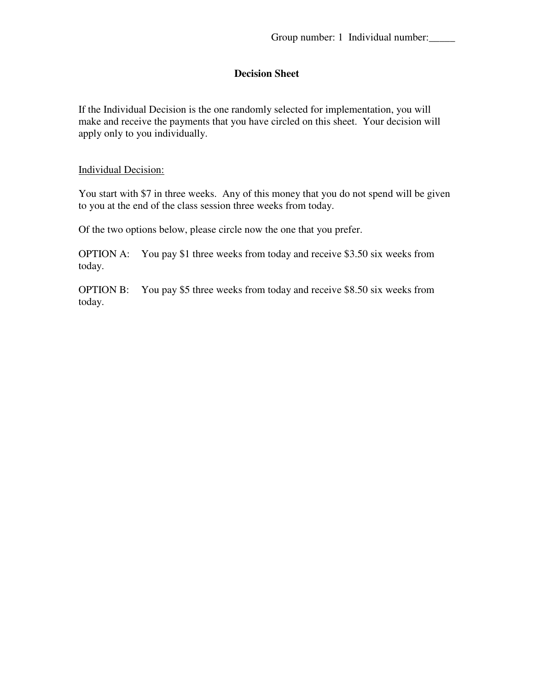If the Individual Decision is the one randomly selected for implementation, you will make and receive the payments that you have circled on this sheet. Your decision will apply only to you individually.

#### Individual Decision:

You start with \$7 in three weeks. Any of this money that you do not spend will be given to you at the end of the class session three weeks from today.

Of the two options below, please circle now the one that you prefer.

OPTION A: You pay \$1 three weeks from today and receive \$3.50 six weeks from today.

OPTION B: You pay \$5 three weeks from today and receive \$8.50 six weeks from today.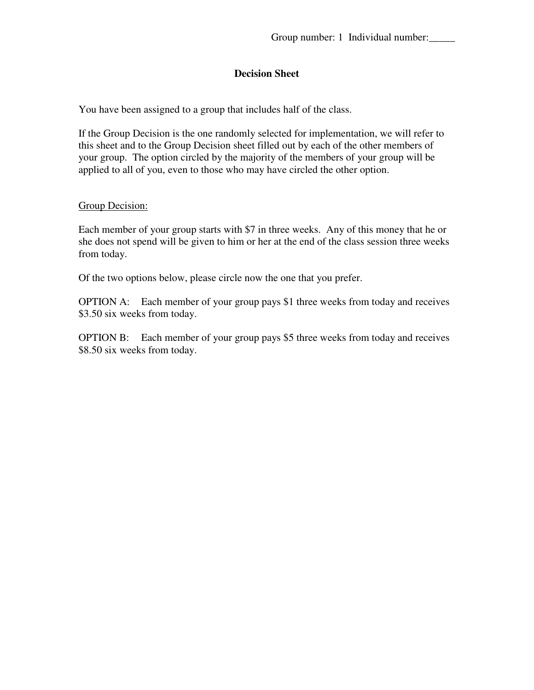You have been assigned to a group that includes half of the class.

If the Group Decision is the one randomly selected for implementation, we will refer to this sheet and to the Group Decision sheet filled out by each of the other members of your group. The option circled by the majority of the members of your group will be applied to all of you, even to those who may have circled the other option.

#### Group Decision:

Each member of your group starts with \$7 in three weeks. Any of this money that he or she does not spend will be given to him or her at the end of the class session three weeks from today.

Of the two options below, please circle now the one that you prefer.

OPTION A: Each member of your group pays \$1 three weeks from today and receives \$3.50 six weeks from today.

OPTION B: Each member of your group pays \$5 three weeks from today and receives \$8.50 six weeks from today.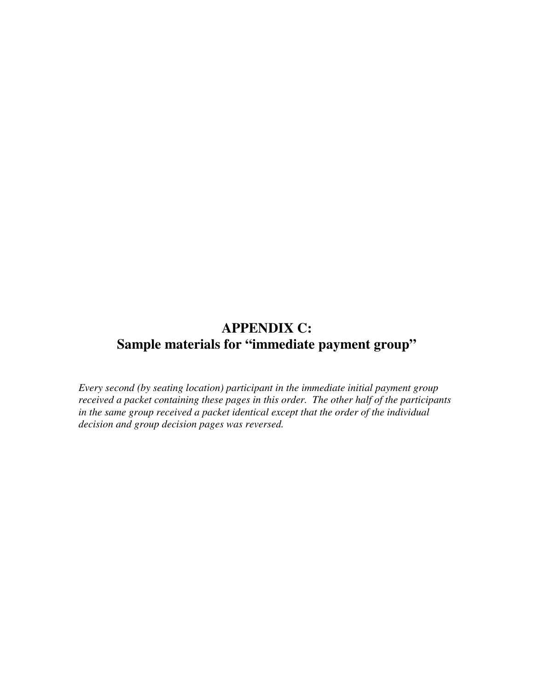# **APPENDIX C: Sample materials for "immediate payment group"**

*Every second (by seating location) participant in the immediate initial payment group received a packet containing these pages in this order. The other half of the participants in the same group received a packet identical except that the order of the individual decision and group decision pages was reversed.*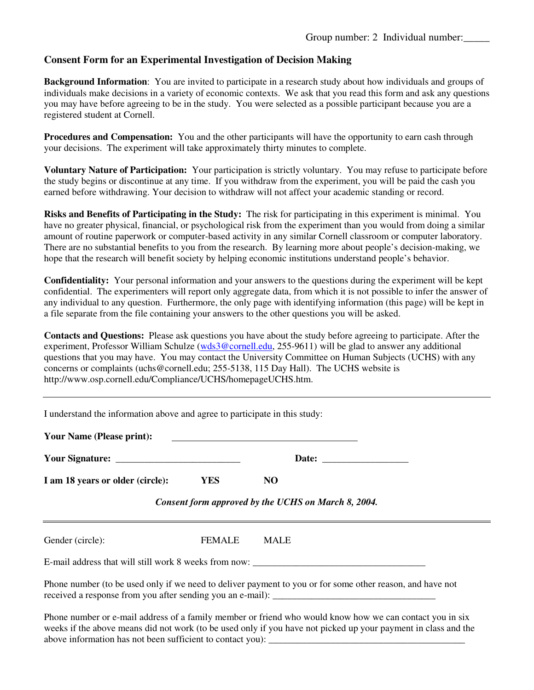#### **Consent Form for an Experimental Investigation of Decision Making**

**Background Information**: You are invited to participate in a research study about how individuals and groups of individuals make decisions in a variety of economic contexts. We ask that you read this form and ask any questions you may have before agreeing to be in the study. You were selected as a possible participant because you are a registered student at Cornell.

**Procedures and Compensation:** You and the other participants will have the opportunity to earn cash through your decisions. The experiment will take approximately thirty minutes to complete.

**Voluntary Nature of Participation:** Your participation is strictly voluntary. You may refuse to participate before the study begins or discontinue at any time. If you withdraw from the experiment, you will be paid the cash you earned before withdrawing. Your decision to withdraw will not affect your academic standing or record.

**Risks and Benefits of Participating in the Study:** The risk for participating in this experiment is minimal. You have no greater physical, financial, or psychological risk from the experiment than you would from doing a similar amount of routine paperwork or computer-based activity in any similar Cornell classroom or computer laboratory. There are no substantial benefits to you from the research. By learning more about people's decision-making, we hope that the research will benefit society by helping economic institutions understand people's behavior.

**Confidentiality:** Your personal information and your answers to the questions during the experiment will be kept confidential. The experimenters will report only aggregate data, from which it is not possible to infer the answer of any individual to any question. Furthermore, the only page with identifying information (this page) will be kept in a file separate from the file containing your answers to the other questions you will be asked.

**Contacts and Questions:** Please ask questions you have about the study before agreeing to participate. After the experiment, Professor William Schulze ([wds3@cornell.edu](mailto:wds3@cornell.edu), 255-9611) will be glad to answer any additional questions that you may have. You may contact the University Committee on Human Subjects (UCHS) with any concerns or complaints (uchs@cornell.edu; 255-5138, 115 Day Hall). The UCHS website is http://www.osp.cornell.edu/Compliance/UCHS/homepageUCHS.htm.

| I understand the information above and agree to participate in this study: |               |                                                                                                           |
|----------------------------------------------------------------------------|---------------|-----------------------------------------------------------------------------------------------------------|
| <b>Your Name (Please print):</b>                                           |               |                                                                                                           |
|                                                                            |               |                                                                                                           |
| I am 18 years or older (circle):<br><b>YES</b>                             |               | NO.                                                                                                       |
|                                                                            |               | Consent form approved by the UCHS on March 8, 2004.                                                       |
| Gender (circle):                                                           | <b>FEMALE</b> | MALE                                                                                                      |
|                                                                            |               | E-mail address that will still work 8 weeks from now:                                                     |
|                                                                            |               | Phone number (to be used only if we need to deliver payment to you or for some other reason, and have not |
|                                                                            |               | Dhone number or a moil address of a family member or friend who would know how we can contact you in six  |

Phone number or e-mail address of a family member or friend who would know how we can contact you in six weeks if the above means did not work (to be used only if you have not picked up your payment in class and the above information has not been sufficient to contact you):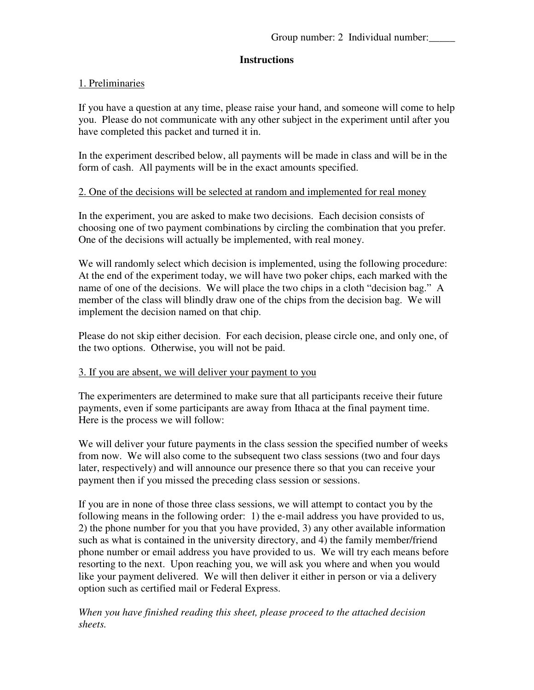#### **Instructions**

#### 1. Preliminaries

If you have a question at any time, please raise your hand, and someone will come to help you. Please do not communicate with any other subject in the experiment until after you have completed this packet and turned it in.

In the experiment described below, all payments will be made in class and will be in the form of cash. All payments will be in the exact amounts specified.

#### 2. One of the decisions will be selected at random and implemented for real money

In the experiment, you are asked to make two decisions. Each decision consists of choosing one of two payment combinations by circling the combination that you prefer. One of the decisions will actually be implemented, with real money.

We will randomly select which decision is implemented, using the following procedure: At the end of the experiment today, we will have two poker chips, each marked with the name of one of the decisions. We will place the two chips in a cloth "decision bag." A member of the class will blindly draw one of the chips from the decision bag. We will implement the decision named on that chip.

Please do not skip either decision. For each decision, please circle one, and only one, of the two options. Otherwise, you will not be paid.

#### 3. If you are absent, we will deliver your payment to you

The experimenters are determined to make sure that all participants receive their future payments, even if some participants are away from Ithaca at the final payment time. Here is the process we will follow:

We will deliver your future payments in the class session the specified number of weeks from now. We will also come to the subsequent two class sessions (two and four days later, respectively) and will announce our presence there so that you can receive your payment then if you missed the preceding class session or sessions.

If you are in none of those three class sessions, we will attempt to contact you by the following means in the following order: 1) the e-mail address you have provided to us, 2) the phone number for you that you have provided, 3) any other available information such as what is contained in the university directory, and 4) the family member/friend phone number or email address you have provided to us. We will try each means before resorting to the next. Upon reaching you, we will ask you where and when you would like your payment delivered. We will then deliver it either in person or via a delivery option such as certified mail or Federal Express.

*When you have finished reading this sheet, please proceed to the attached decision sheets.*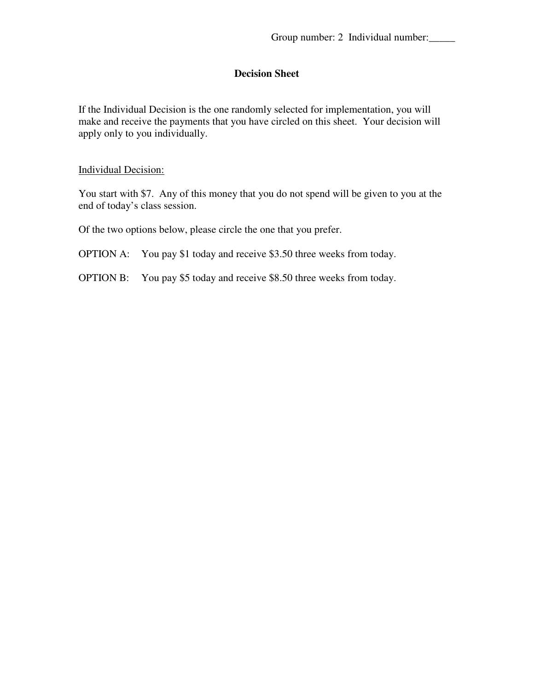If the Individual Decision is the one randomly selected for implementation, you will make and receive the payments that you have circled on this sheet. Your decision will apply only to you individually.

#### Individual Decision:

You start with \$7. Any of this money that you do not spend will be given to you at the end of today's class session.

Of the two options below, please circle the one that you prefer.

OPTION A: You pay \$1 today and receive \$3.50 three weeks from today.

OPTION B: You pay \$5 today and receive \$8.50 three weeks from today.